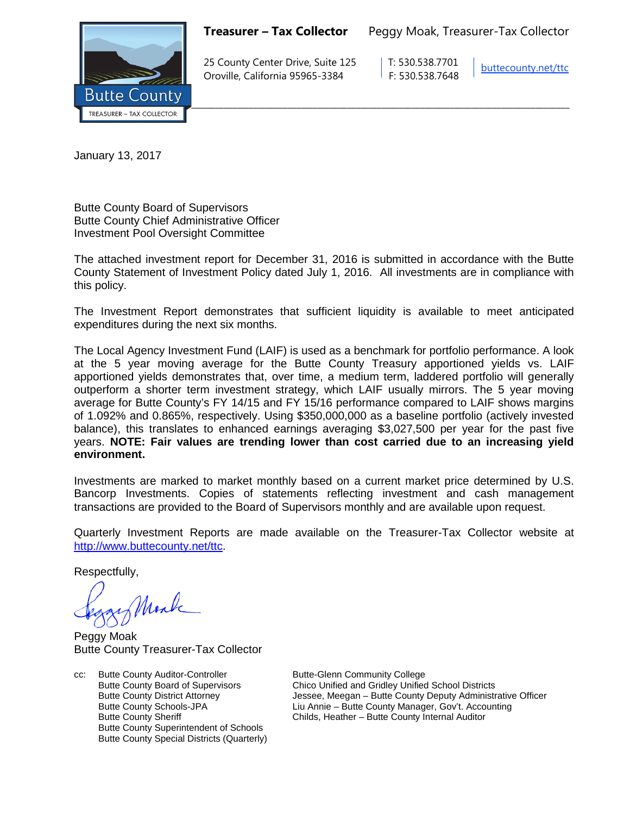

**Treasurer – Tax Collector** Peggy Moak, Treasurer-Tax Collector

25 County Center Drive, Suite 125 T: 530.538.7701 Oroville, California 95965-3384 F: 530.538.7648

[buttecounty.net/t](http://www.buttecounty.net/administration)tc

January 13, 2017

Butte County Board of Supervisors Butte County Chief Administrative Officer Investment Pool Oversight Committee

The attached investment report for December 31, 2016 is submitted in accordance with the Butte County Statement of Investment Policy dated July 1, 2016. All investments are in compliance with this policy.

The Investment Report demonstrates that sufficient liquidity is available to meet anticipated expenditures during the next six months.

The Local Agency Investment Fund (LAIF) is used as a benchmark for portfolio performance. A look at the 5 year moving average for the Butte County Treasury apportioned yields vs. LAIF apportioned yields demonstrates that, over time, a medium term, laddered portfolio will generally outperform a shorter term investment strategy, which LAIF usually mirrors. The 5 year moving average for Butte County's FY 14/15 and FY 15/16 performance compared to LAIF shows margins of 1.092% and 0.865%, respectively. Using \$350,000,000 as a baseline portfolio (actively invested balance), this translates to enhanced earnings averaging \$3,027,500 per year for the past five years. **NOTE: Fair values are trending lower than cost carried due to an increasing yield environment.**

Investments are marked to market monthly based on a current market price determined by U.S. Bancorp Investments. Copies of statements reflecting investment and cash management transactions are provided to the Board of Supervisors monthly and are available upon request.

Quarterly Investment Reports are made available on the Treasurer-Tax Collector website at <http://www.buttecounty.net/ttc>.

Respectfully,

Monk

Peggy Moak Butte County Treasurer-Tax Collector

cc: Butte County Auditor-Controller Butte-Glenn Community College<br>Butte County Board of Supervisors Chico Unified and Gridley Unified Butte County Superintendent of Schools Butte County Special Districts (Quarterly)

Butte County Board of Supervisors Chico Unified and Gridley Unified School Districts<br>
Butte County District Attorney Chico Unified School Dessee, Meegan – Butte County Deputy Administr Butte County District Attorney **State Law State Attorney** Jessee, Meegan – Butte County Deputy Administrative Officer<br>Butte County Schools-JPA **The County Agent** Liu Annie – Butte County Manager, Gov't. Accounting Liu Annie – Butte County Manager, Gov't. Accounting Butte County Sheriff **Childs, Heather – Butte County Internal Auditor**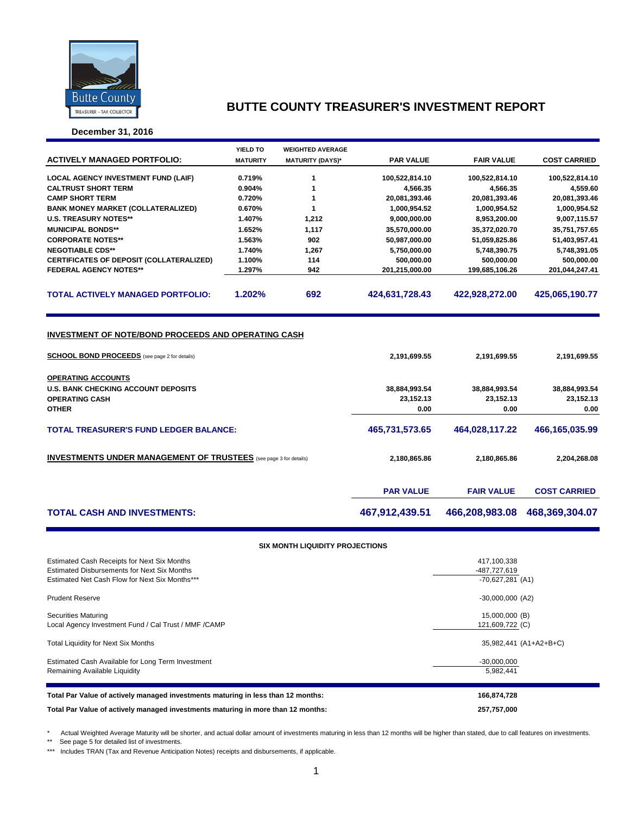

**December 31, 2016**

|                                                                                                                                                                          | YIELD TO         | <b>WEIGHTED AVERAGE</b> |                                                    |                                                    |                                                    |  |  |  |
|--------------------------------------------------------------------------------------------------------------------------------------------------------------------------|------------------|-------------------------|----------------------------------------------------|----------------------------------------------------|----------------------------------------------------|--|--|--|
| <b>ACTIVELY MANAGED PORTFOLIO:</b>                                                                                                                                       | <b>MATURITY</b>  | <b>MATURITY (DAYS)*</b> | <b>PAR VALUE</b>                                   | <b>FAIR VALUE</b>                                  | <b>COST CARRIED</b>                                |  |  |  |
|                                                                                                                                                                          |                  | 1                       |                                                    |                                                    |                                                    |  |  |  |
| <b>LOCAL AGENCY INVESTMENT FUND (LAIF)</b>                                                                                                                               | 0.719%           | 1                       | 100,522,814.10                                     | 100,522,814.10                                     | 100,522,814.10                                     |  |  |  |
| <b>CALTRUST SHORT TERM</b><br><b>CAMP SHORT TERM</b>                                                                                                                     | 0.904%<br>0.720% | 1                       | 4,566.35<br>20,081,393.46                          | 4,566.35                                           | 4,559.60<br>20,081,393.46                          |  |  |  |
| <b>BANK MONEY MARKET (COLLATERALIZED)</b>                                                                                                                                | 0.670%           | 1                       | 1,000,954.52                                       | 20,081,393.46<br>1,000,954.52                      | 1,000,954.52                                       |  |  |  |
| <b>U.S. TREASURY NOTES**</b>                                                                                                                                             | 1.407%           | 1,212                   | 9,000,000.00                                       |                                                    |                                                    |  |  |  |
| <b>MUNICIPAL BONDS**</b>                                                                                                                                                 | 1.652%           | 1,117                   |                                                    | 8,953,200.00                                       | 9,007,115.57                                       |  |  |  |
| <b>CORPORATE NOTES**</b>                                                                                                                                                 | 1.563%           | 902                     | 35,570,000.00<br>50,987,000.00                     | 35,372,020.70<br>51,059,825.86                     | 35,751,757.65<br>51,403,957.41                     |  |  |  |
|                                                                                                                                                                          |                  |                         |                                                    |                                                    |                                                    |  |  |  |
| <b>NEGOTIABLE CDS**</b>                                                                                                                                                  | 1.740%           | 1,267<br>114            | 5,750,000.00                                       | 5,748,390.75                                       | 5,748,391.05                                       |  |  |  |
| CERTIFICATES OF DEPOSIT (COLLATERALIZED)<br><b>FEDERAL AGENCY NOTES**</b>                                                                                                | 1.100%<br>1.297% | 942                     | 500,000.00<br>201,215,000.00                       | 500,000.00<br>199,685,106.26                       | 500,000.00                                         |  |  |  |
|                                                                                                                                                                          |                  |                         |                                                    |                                                    | 201,044,247.41                                     |  |  |  |
| <b>TOTAL ACTIVELY MANAGED PORTFOLIO:</b>                                                                                                                                 | 1.202%           | 692                     | 424,631,728.43                                     | 422,928,272.00                                     | 425,065,190.77                                     |  |  |  |
| <b>SCHOOL BOND PROCEEDS</b> (see page 2 for details)<br><b>OPERATING ACCOUNTS</b><br><b>U.S. BANK CHECKING ACCOUNT DEPOSITS</b><br><b>OPERATING CASH</b><br><b>OTHER</b> |                  |                         | 2,191,699.55<br>38,884,993.54<br>23,152.13<br>0.00 | 2,191,699.55<br>38,884,993.54<br>23,152.13<br>0.00 | 2,191,699.55<br>38,884,993.54<br>23,152.13<br>0.00 |  |  |  |
| <b>TOTAL TREASURER'S FUND LEDGER BALANCE:</b>                                                                                                                            |                  | 465,731,573.65          | 464,028,117.22                                     | 466,165,035.99                                     |                                                    |  |  |  |
| <b>INVESTMENTS UNDER MANAGEMENT OF TRUSTEES</b> (see page 3 for details)                                                                                                 |                  |                         | 2,180,865.86                                       | 2,180,865.86                                       | 2,204,268.08                                       |  |  |  |
|                                                                                                                                                                          |                  |                         | <b>PAR VALUE</b>                                   | <b>FAIR VALUE</b>                                  | <b>COST CARRIED</b>                                |  |  |  |
| <b>TOTAL CASH AND INVESTMENTS:</b>                                                                                                                                       |                  |                         | 467,912,439.51                                     | 466,208,983.08                                     | 468,369,304.07                                     |  |  |  |
| <b>SIX MONTH LIQUIDITY PROJECTIONS</b>                                                                                                                                   |                  |                         |                                                    |                                                    |                                                    |  |  |  |
| Estimated Cash Receipts for Next Six Months                                                                                                                              |                  |                         |                                                    | 417,100,338                                        |                                                    |  |  |  |
| <b>Estimated Disbursements for Next Six Months</b>                                                                                                                       |                  |                         |                                                    | -487,727,619                                       |                                                    |  |  |  |
| Estimated Net Cash Flow for Next Six Months***                                                                                                                           |                  |                         |                                                    | $-70,627,281$ (A1)                                 |                                                    |  |  |  |
| <b>Prudent Reserve</b>                                                                                                                                                   |                  |                         |                                                    | $-30,000,000$ (A2)                                 |                                                    |  |  |  |

Securities Maturing 15,000,000 (B)<br>
Local Agency Investment Fund / Cal Trust / MMF /CAMP 1999/1999 121,609,722 (C) Local Agency Investment Fund / Cal Trust / MMF /CAMP

Total Liquidity for Next Six Months 35,982,441 (A1+A2+B+C)

Estimated Cash Available for Long Term Investment -30,000,000 Remaining Available Liquidity **1998** Superior 1 and the United States of the United States of the States of the States of the States of the States of the States of the States of the States of the States of the States of th

| Total Par Value of actively managed investments maturing in less than 12 months: | 166.874.728 |
|----------------------------------------------------------------------------------|-------------|
| Total Par Value of actively managed investments maturing in more than 12 months: | 257.757.000 |

\* Actual Weighted Average Maturity will be shorter, and actual dollar amount of investments maturing in less than 12 months will be higher than stated, due to call features on investments.

\*\* See page 5 for detailed list of investments.

\*\*\* Includes TRAN (Tax and Revenue Anticipation Notes) receipts and disbursements, if applicable.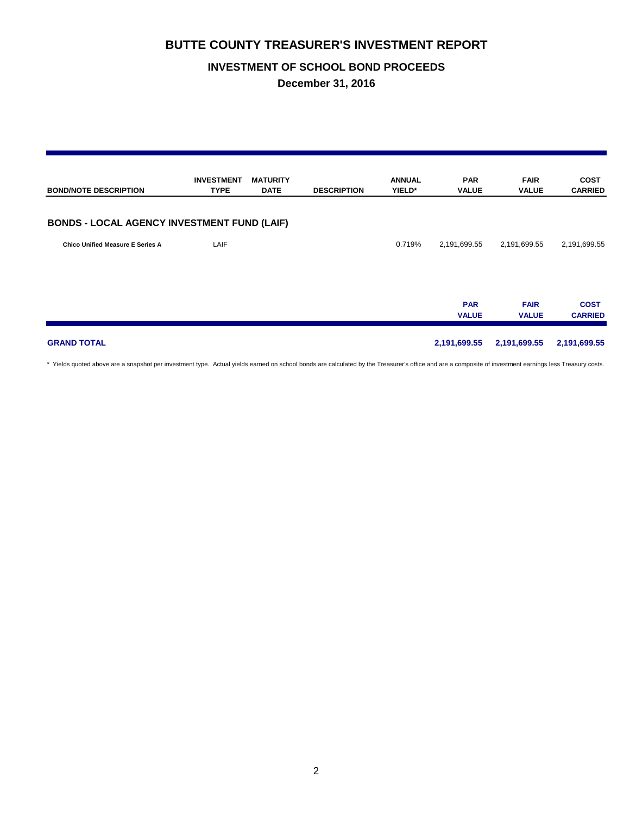### **INVESTMENT OF SCHOOL BOND PROCEEDS**

**December 31, 2016**

| <b>BOND/NOTE DESCRIPTION</b>                       | <b>INVESTMENT</b><br><b>TYPE</b> | <b>MATURITY</b><br><b>DATE</b> | <b>DESCRIPTION</b> | <b>ANNUAL</b><br>YIELD* | <b>PAR</b><br><b>VALUE</b> | <b>FAIR</b><br><b>VALUE</b> | <b>COST</b><br><b>CARRIED</b> |
|----------------------------------------------------|----------------------------------|--------------------------------|--------------------|-------------------------|----------------------------|-----------------------------|-------------------------------|
| <b>BONDS - LOCAL AGENCY INVESTMENT FUND (LAIF)</b> |                                  |                                |                    |                         |                            |                             |                               |
| <b>Chico Unified Measure E Series A</b>            | LAIF                             |                                |                    | 0.719%                  | 2,191,699.55               | 2,191,699.55                | 2,191,699.55                  |
|                                                    |                                  |                                |                    |                         | <b>PAR</b><br><b>VALUE</b> | <b>FAIR</b><br><b>VALUE</b> | <b>COST</b><br><b>CARRIED</b> |
| <b>GRAND TOTAL</b>                                 |                                  |                                |                    |                         | 2,191,699.55               | 2,191,699.55                | 2,191,699.55                  |

\* Yields quoted above are a snapshot per investment type. Actual yields earned on school bonds are calculated by the Treasurer's office and are a composite of investment earnings less Treasury costs.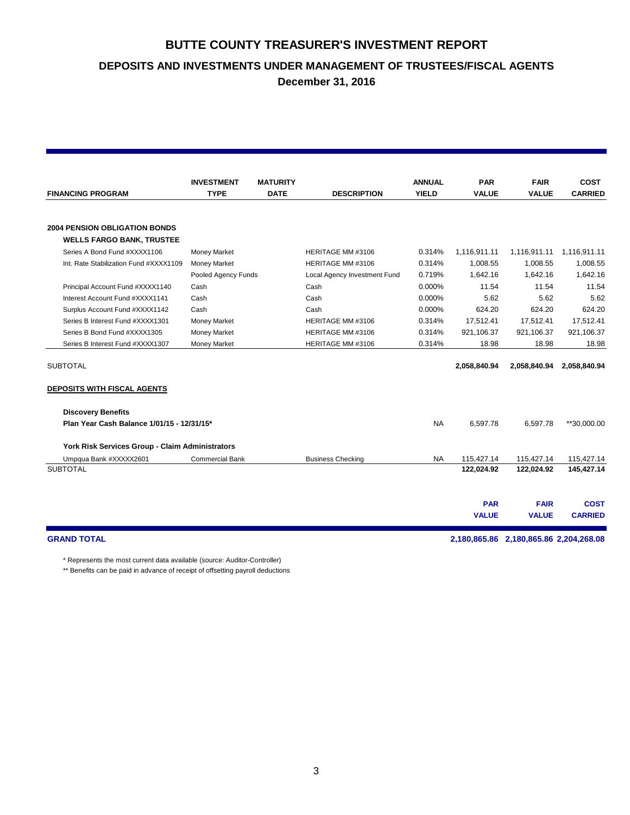**DEPOSITS AND INVESTMENTS UNDER MANAGEMENT OF TRUSTEES/FISCAL AGENTS**

**December 31, 2016**

|                                                                          | <b>INVESTMENT</b>      | <b>MATURITY</b> |                              | <b>ANNUAL</b> | <b>PAR</b>   | <b>FAIR</b>                            | <b>COST</b>    |  |
|--------------------------------------------------------------------------|------------------------|-----------------|------------------------------|---------------|--------------|----------------------------------------|----------------|--|
| <b>FINANCING PROGRAM</b>                                                 | <b>TYPE</b>            | <b>DATE</b>     | <b>DESCRIPTION</b>           | <b>YIELD</b>  | <b>VALUE</b> | <b>VALUE</b>                           | <b>CARRIED</b> |  |
|                                                                          |                        |                 |                              |               |              |                                        |                |  |
| <b>2004 PENSION OBLIGATION BONDS</b><br><b>WELLS FARGO BANK, TRUSTEE</b> |                        |                 |                              |               |              |                                        |                |  |
| Series A Bond Fund #XXXX1106                                             | <b>Money Market</b>    |                 | HERITAGE MM #3106            | 0.314%        | 1,116,911.11 | 1,116,911.11                           | 1,116,911.11   |  |
| Int. Rate Stabilization Fund #XXXX1109                                   | <b>Money Market</b>    |                 | HERITAGE MM #3106            | 0.314%        | 1,008.55     | 1,008.55                               | 1,008.55       |  |
|                                                                          | Pooled Agency Funds    |                 | Local Agency Investment Fund | 0.719%        | 1.642.16     | 1,642.16                               | 1,642.16       |  |
| Principal Account Fund #XXXX1140                                         | Cash                   |                 | Cash                         | 0.000%        | 11.54        | 11.54                                  | 11.54          |  |
| Interest Account Fund #XXXX1141                                          | Cash                   |                 | Cash                         | 0.000%        | 5.62         | 5.62                                   | 5.62           |  |
| Surplus Account Fund #XXXX1142                                           | Cash                   |                 | Cash                         | 0.000%        | 624.20       | 624.20                                 | 624.20         |  |
| Series B Interest Fund #XXXX1301                                         | <b>Money Market</b>    |                 | HERITAGE MM #3106            | 0.314%        | 17,512.41    | 17,512.41                              | 17,512.41      |  |
| Series B Bond Fund #XXXX1305                                             | <b>Money Market</b>    |                 | HERITAGE MM #3106            | 0.314%        | 921.106.37   | 921,106.37                             | 921,106.37     |  |
| Series B Interest Fund #XXXX1307                                         | <b>Money Market</b>    |                 | HERITAGE MM #3106            | 0.314%        | 18.98        | 18.98                                  | 18.98          |  |
|                                                                          |                        |                 |                              |               |              |                                        |                |  |
| <b>SUBTOTAL</b>                                                          |                        |                 |                              |               | 2,058,840.94 | 2,058,840.94                           | 2,058,840.94   |  |
| <b>DEPOSITS WITH FISCAL AGENTS</b>                                       |                        |                 |                              |               |              |                                        |                |  |
| <b>Discovery Benefits</b>                                                |                        |                 |                              |               |              |                                        |                |  |
| Plan Year Cash Balance 1/01/15 - 12/31/15*                               |                        |                 |                              | <b>NA</b>     | 6,597.78     | 6,597.78                               | **30,000.00    |  |
| York Risk Services Group - Claim Administrators                          |                        |                 |                              |               |              |                                        |                |  |
| Umpqua Bank #XXXXX2601                                                   | <b>Commercial Bank</b> |                 | <b>Business Checking</b>     | <b>NA</b>     | 115,427.14   | 115,427.14                             | 115,427.14     |  |
| <b>SUBTOTAL</b>                                                          |                        |                 |                              |               | 122,024.92   | 122,024.92                             | 145,427.14     |  |
|                                                                          |                        |                 |                              |               |              |                                        |                |  |
|                                                                          |                        |                 |                              |               | <b>PAR</b>   | <b>FAIR</b>                            | <b>COST</b>    |  |
|                                                                          |                        |                 |                              |               | <b>VALUE</b> | <b>VALUE</b>                           | <b>CARRIED</b> |  |
| <b>GRAND TOTAL</b>                                                       |                        |                 |                              |               |              | 2,180,865.86 2,180,865.86 2,204,268.08 |                |  |

\* Represents the most current data available (source: Auditor-Controller)

\*\* Benefits can be paid in advance of receipt of offsetting payroll deductions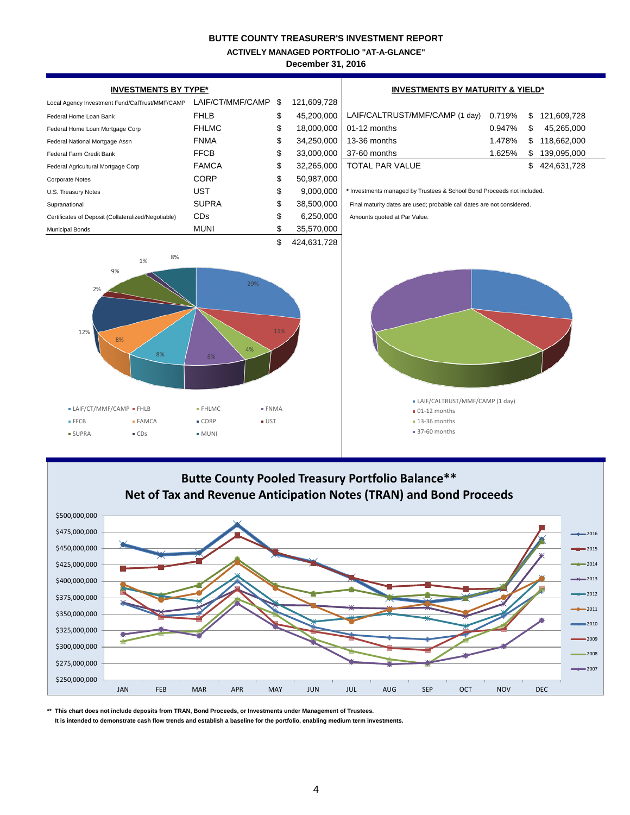**ACTIVELY MANAGED PORTFOLIO "AT-A-GLANCE"**

**December 31, 2016**



# **Butte County Pooled Treasury Portfolio Balance\*\* Net of Tax and Revenue Anticipation Notes (TRAN) and Bond Proceeds**



**\*\* This chart does not include deposits from TRAN, Bond Proceeds, or Investments under Management of Trustees.**

 **It is intended to demonstrate cash flow trends and establish a baseline for the portfolio, enabling medium term investments.**